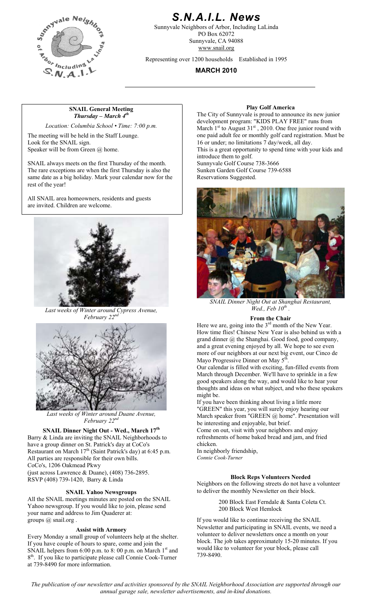

# *S.N.A.I.L. News*

Sunnyvale Neighbors of Arbor, Including LaLinda PO Box 62072 Sunnyvale, CA 94088 www.snail.org

Representing over 1200 households Established in 1995

**MARCH 2010** 

## **SNAIL General Meeting**  Play Golf America *Thursday – March 4th*

*Location: Columbia School • Time: 7:00 p.m.* 

The meeting will be held in the Staff Lounge. Look for the SNAIL sign. Speaker will be from Green @ home.

SNAIL always meets on the first Thursday of the month. Sunnyvale Golf Course 738-3666 The rare exceptions are when the first Thursday is also the same date as a big holiday. Mark your calendar now for the rest of the year!

All SNAIL area homeowners, residents and guests are invited. Children are welcome.



*Last weeks of Winter around Cypress Avenue, February 22nd* **From the Chair** 



*Last weeks of Winter around Duane Avenue, February* 22<sup>*n*</sup>

Barry & Linda are inviting the SNAIL Neighborhoods to have a group dinner on St. Patrick's day at CoCo's Restaurant on March  $17<sup>th</sup>$  (Saint Patrick's day) at 6:45 p.m. All parties are responsible for their own bills. CoCo's, 1206 Oakmead Pkwy (just across Lawrence & Duane),  $(408)$  736-2895. RSVP (408) 739-1420, Barry & Linda **Block Reps Volunteers Needed** 

All the SNAIL meetings minutes are posted on the SNAIL Yahoo newsgroup. If you would like to join, please send your name and address to Jim Quaderer at: groups @ snail.org .

### **Assist with Armory**

Every Monday a small group of volunteers help at the shelter. If you have couple of hours to spare, come and join the SNAIL helpers from  $6:00$  p.m. to  $8:00$  p.m. on March  $1<sup>st</sup>$  and 8th. If you like to participate please call Connie Cook-Turner at 739-8490 for more information.

The City of Sunnyvale is proud to announce its new junior development program: "KIDS PLAY FREE" runs from March  $1<sup>st</sup>$  to August 31<sup>st</sup>, 2010. One free junior round with one paid adult fee or monthly golf card registration. Must be 16 or under; no limitations 7 day/week, all day. This is a great opportunity to spend time with your kids and introduce them to golf. Sunken Garden Golf Course 739-6588 Reservations Suggested.



*SNAIL Dinner Night Out at Shanghai Restaurant,*   $\bar{W}$ ed., Feb  $10^{th}$ 

Here we are, going into the  $3<sup>rd</sup>$  month of the New Year. How time flies! Chinese New Year is also behind us with a grand dinner @ the Shanghai. Good food, good company, and a great evening enjoyed by all. We hope to see even more of our neighbors at our next big event, our Cinco de Mayo Progressive Dinner on May  $5<sup>th</sup>$ 

Our calendar is filled with exciting, fun-filled events from March through December. We'll have to sprinkle in a few good speakers along the way, and would like to hear your thoughts and ideas on what subject, and who these speakers might be.

If you have been thinking about living a little more "GREEN" this year, you will surely enjoy hearing our March speaker from "GREEN @ home". Presentation will be interesting and enjoyable, but brief.

**SNAIL Dinner Night Out - Wed., March 17<sup>th</sup> Come on out, visit with your neighbors and enjoy** refreshments of home baked bread and jam, and fried chicken.

In neighborly friendship, *Connie Cook-Turner*

Neighbors on the following streets do not have a volunteer **SNAIL Yahoo Newsgroups b** to deliver the monthly Newsletter on their block.

> 200 Block East Ferndale & Santa Coleta Ct. 200 Block West Hemlock

If you would like to continue receiving the SNAIL Newsletter and participating in SNAIL events, we need a volunteer to deliver newsletters once a month on your block. The job takes approximately 15-20 minutes. If you would like to volunteer for your block, please call 739-8490.

*The publication of our newsletter and activities sponsored by the SNAIL Neighborhood Association are supported through our annual garage sale, newsletter advertisements, and in-kind donations.*